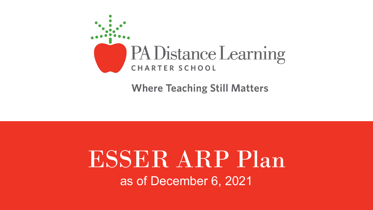

**Where Teaching Still Matters** 

# ESSER ARP Plan as of December 6, 2021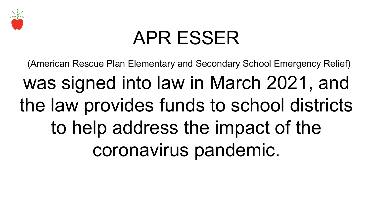

# APR ESSER

(American Rescue Plan Elementary and Secondary School Emergency Relief)

was signed into law in March 2021, and the law provides funds to school districts to help address the impact of the coronavirus pandemic.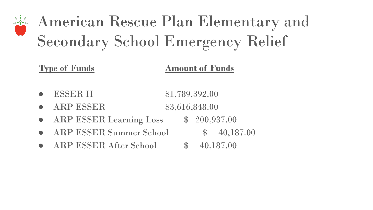## American Rescue Plan Elementary and Secondary School Emergency Relief

#### **Type of Funds Amount of Funds**

- ESSER II \$1,789.392.00
- ARP ESSER \$3,616,848.00
- ARP ESSER Learning Loss \$ 200,937.00
- ARP ESSER Summer School  $$ 40,187.00$
- ARP ESSER After School  $$ 40,187.00$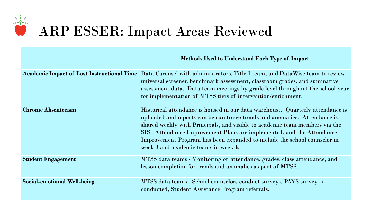

### ARP ESSER: Impact Areas Reviewed

|                                    | <b>Methods Used to Understand Each Type of Impact</b>                                                                                                                                                                                                                                                                                                                                                                                    |
|------------------------------------|------------------------------------------------------------------------------------------------------------------------------------------------------------------------------------------------------------------------------------------------------------------------------------------------------------------------------------------------------------------------------------------------------------------------------------------|
|                                    | Academic Impact of Lost Instructional Time Data Carousel with administrators, Title I team, and DataWise team to review<br>universal screener, benchmark assessment, classroom grades, and summative<br>assessment data. Data team meetings by grade level throughout the school year<br>for implementation of MTSS tiers of intervention/enrichment.                                                                                    |
| <b>Chronic Absenteeism</b>         | Historical attendance is housed in our data warehouse. Quarterly attendance is<br>uploaded and reports can be run to see trends and anomalies. Attendance is<br>shared weekly with Principals, and visible to academic team members via the<br>SIS. Attendance Improvement Plans are implemented, and the Attendance<br>Improvement Program has been expanded to include the school counselor in<br>week 3 and academic teams in week 4. |
| <b>Student Engagement</b>          | MTSS data teams - Monitoring of attendance, grades, class attendance, and<br>lesson completion for trends and anomalies as part of MTSS.                                                                                                                                                                                                                                                                                                 |
| <b>Social-emotional Well-being</b> | MTSS data teams - School counselors conduct surveys, PAYS survey is<br>conducted, Student Assistance Program referrals.                                                                                                                                                                                                                                                                                                                  |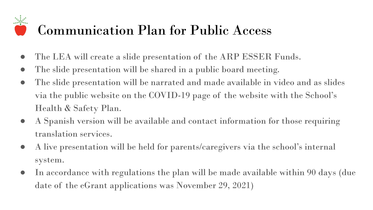#### Communication Plan for Public Access

- The LEA will create a slide presentation of the ARP ESSER Funds.
- The slide presentation will be shared in a public board meeting.
- The slide presentation will be narrated and made available in video and as slides via the public website on the COVID-19 page of the website with the School's Health & Safety Plan.
- A Spanish version will be available and contact information for those requiring translation services.
- A live presentation will be held for parents/caregivers via the school's internal system.
- In accordance with regulations the plan will be made available within 90 days (due date of the eGrant applications was November 29, 2021)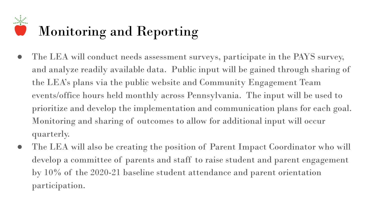#### Monitoring and Reporting

- The LEA will conduct needs assessment surveys, participate in the PAYS survey, and analyze readily available data. Public input will be gained through sharing of the LEA's plans via the public website and Community Engagement Team events/office hours held monthly across Pennsylvania. The input will be used to prioritize and develop the implementation and communication plans for each goal. Monitoring and sharing of outcomes to allow for additional input will occur quarterly.
- The LEA will also be creating the position of Parent Impact Coordinator who will develop a committee of parents and staff to raise student and parent engagement by 10% of the 2020-21 baseline student attendance and parent orientation participation.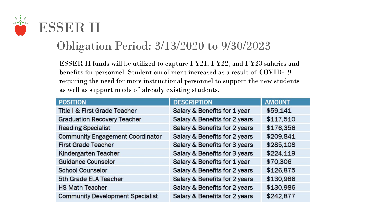

#### Obligation Period: 3/13/2020 to 9/30/2023

ESSER II funds will be utilized to capture FY21, FY22, and FY23 salaries and benefits for personnel. Student enrollment increased as a result of COVID-19, requiring the need for more instructional personnel to support the new students as well as support needs of already existing students.

| <b>POSITION</b>                         | <b>DESCRIPTION</b>            | <b>AMOUNT</b> |
|-----------------------------------------|-------------------------------|---------------|
| Title I & First Grade Teacher           | Salary & Benefits for 1 year  | \$59,141      |
| <b>Graduation Recovery Teacher</b>      | Salary & Benefits for 2 years | \$117,510     |
| <b>Reading Specialist</b>               | Salary & Benefits for 2 years | \$176,356     |
| <b>Community Engagement Coordinator</b> | Salary & Benefits for 2 years | \$209,841     |
| <b>First Grade Teacher</b>              | Salary & Benefits for 3 years | \$285,108     |
| Kindergarten Teacher                    | Salary & Benefits for 3 years | \$224,119     |
| <b>Guidance Counselor</b>               | Salary & Benefits for 1 year  | \$70,306      |
| <b>School Counselor</b>                 | Salary & Benefits for 2 years | \$126,875     |
| 5th Grade ELA Teacher                   | Salary & Benefits for 2 years | \$130,986     |
| <b>HS Math Teacher</b>                  | Salary & Benefits for 2 years | \$130,986     |
| <b>Community Development Specialist</b> | Salary & Benefits for 2 years | \$242,877     |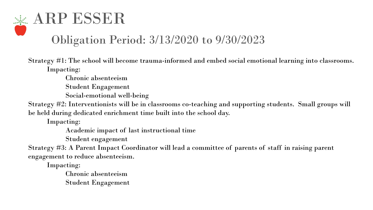### **ARP ESSER** Obligation Period: 3/13/2020 to 9/30/2023

Strategy #1: The school will become trauma-informed and embed social emotional learning into classrooms. Impacting:

Chronic absenteeism

Student Engagement

Social-emotional well-being

Strategy #2: Interventionists will be in classrooms co-teaching and supporting students. Small groups will be held during dedicated enrichment time built into the school day.

Impacting:

Academic impact of last instructional time

Student engagement

Strategy #3: A Parent Impact Coordinator will lead a committee of parents of staff in raising parent engagement to reduce absenteeism.

Impacting:

Chronic absenteeism Student Engagement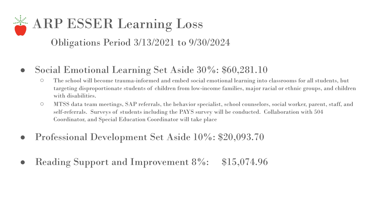### ARP ESSER Learning Loss Obligations Period 3/13/2021 to 9/30/2024

- Social Emotional Learning Set Aside 30%: \$60,281.10
	- The school will become trauma-informed and embed social emotional learning into classrooms for all students, but targeting disproportionate students of children from low-income families, major racial or ethnic groups, and children with disabilities.
	- MTSS data team meetings, SAP referrals, the behavior specialist, school counselors, social worker, parent, staff, and self-referrals. Surveys of students including the PAYS survey will be conducted. Collaboration with 504 Coordinator, and Special Education Coordinator will take place
- Professional Development Set Aside 10%: \$20,093.70
- Reading Support and Improvement 8%: \$15,074.96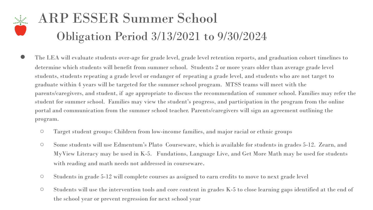#### ARP ESSER Summer School Obligation Period 3/13/2021 to 9/30/2024

- The LEA will evaluate students over-age for grade level, grade level retention reports, and graduation cohort timelines to determine which students will benefit from summer school. Students 2 or more years older than average grade level students, students repeating a grade level or endanger of repeating a grade level, and students who are not target to graduate within 4 years will be targeted for the summer school program. MTSS teams will meet with the parents/caregivers, and student, if age appropriate to discuss the recommendation of summer school. Families may refer the student for summer school. Families may view the student's progress, and participation in the program from the online portal and communication from the summer school teacher. Parents/caregivers will sign an agreement outlining the program.
	- Target student groups: Children from low-income families, and major racial or ethnic groups
	- Some students will use Edmentum's Plato Courseware, which is available for students in grades 5-12. Zearn, and MyView Literacy may be used in K-5. Fundations, Language Live, and Get More Math may be used for students with reading and math needs not addressed in courseware.
	- Students in grade 5-12 will complete courses as assigned to earn credits to move to next grade level
	- Students will use the intervention tools and core content in grades K-5 to close learning gaps identified at the end of the school year or prevent regression for next school year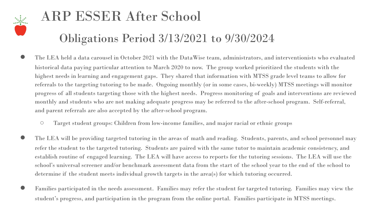

# ARP ESSER After School

#### Obligations Period 3/13/2021 to 9/30/2024

- The LEA held a data carousel in October 2021 with the DataWise team, administrators, and interventionists who evaluated historical data paying particular attention to March 2020 to now. The group worked prioritized the students with the highest needs in learning and engagement gaps. They shared that information with MTSS grade level teams to allow for referrals to the targeting tutoring to be made. Ongoing monthly (or in some cases, bi-weekly) MTSS meetings will monitor progress of all students targeting those with the highest needs. Progress monitoring of goals and interventions are reviewed monthly and students who are not making adequate progress may be referred to the after-school program. Self-referral, and parent referrals are also accepted by the after-school program.
	- Target student groups: Children from low-income families, and major racial or ethnic groups
- The LEA will be providing targeted tutoring in the areas of math and reading. Students, parents, and school personnel may refer the student to the targeted tutoring. Students are paired with the same tutor to maintain academic consistency, and establish routine of engaged learning. The LEA will have access to reports for the tutoring sessions. The LEA will use the school's universal screener and/or benchmark assessment data from the start of the school year to the end of the school to determine if the student meets individual growth targets in the area(s) for which tutoring occurred.
- Families participated in the needs assessment. Families may refer the student for targeted tutoring. Families may view the student's progress, and participation in the program from the online portal. Families participate in MTSS meetings.